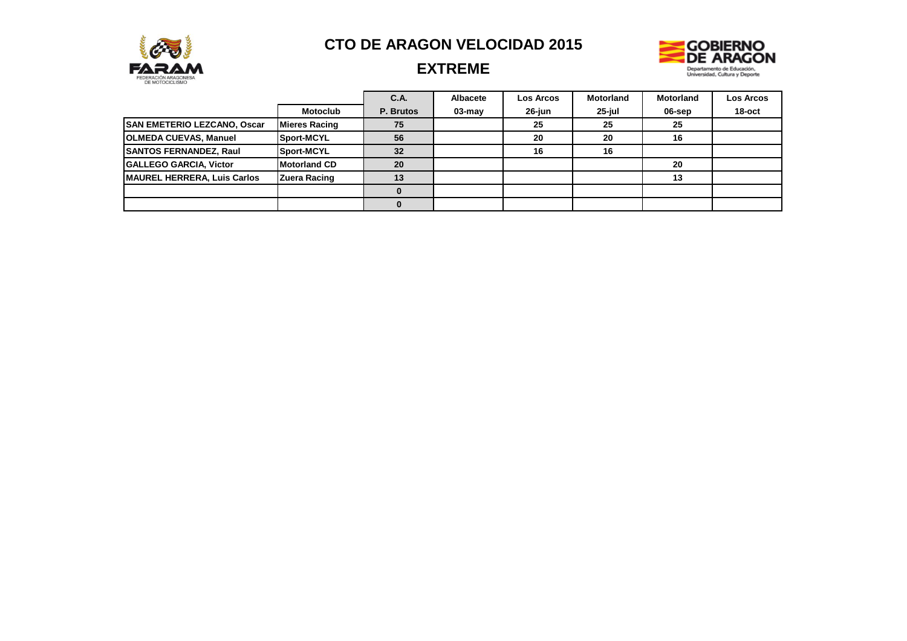



# **EXTREME**

|                                    |                      | C.A.      | Albacete  | <b>Los Arcos</b> | <b>Motorland</b> | <b>Motorland</b> | <b>Los Arcos</b> |
|------------------------------------|----------------------|-----------|-----------|------------------|------------------|------------------|------------------|
|                                    | <b>Motoclub</b>      | P. Brutos | $03$ -may | 26-jun           | 25-jul           | 06-sep           | 18-oct           |
| <b>SAN EMETERIO LEZCANO, Oscar</b> | <b>Mieres Racing</b> | 75        |           | 25               | 25               | 25               |                  |
| <b>OLMEDA CUEVAS, Manuel</b>       | Sport-MCYL           | 56        |           | 20               | 20               | 16               |                  |
| <b>SANTOS FERNANDEZ, Raul</b>      | Sport-MCYL           | 32        |           | 16               | 16               |                  |                  |
| <b>GALLEGO GARCIA, Victor</b>      | <b>Motorland CD</b>  | 20        |           |                  |                  | 20               |                  |
| MAUREL HERRERA, Luis Carlos        | Zuera Racing         | 13        |           |                  |                  | 13               |                  |
|                                    |                      |           |           |                  |                  |                  |                  |
|                                    |                      |           |           |                  |                  |                  |                  |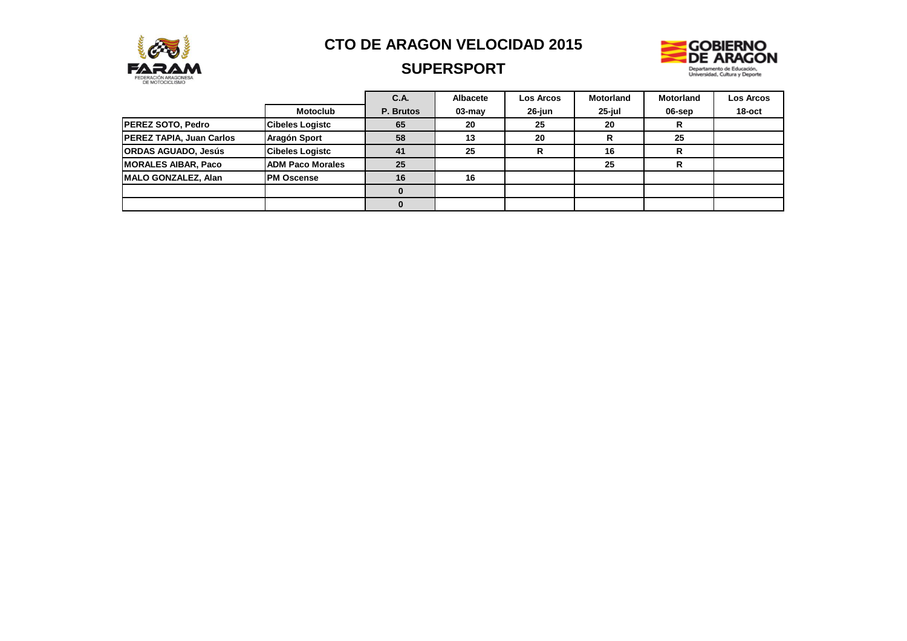

# **SUPERSPORT**



|                                 |                         | C.A.      | <b>Albacete</b> | <b>Los Arcos</b> | <b>Motorland</b> | <b>Motorland</b> | Los Arcos |
|---------------------------------|-------------------------|-----------|-----------------|------------------|------------------|------------------|-----------|
|                                 | <b>Motoclub</b>         | P. Brutos | $03$ -may       | 26-iun           | $25$ -iul        | 06-sep           | $18$ -oct |
| <b>PEREZ SOTO, Pedro</b>        | <b>Cibeles Logistc</b>  | 65        | 20              | 25               | 20               | n.               |           |
| <b>PEREZ TAPIA, Juan Carlos</b> | Aragón Sport            | 58        | 13              | 20               |                  | 25               |           |
| <b>ORDAS AGUADO, Jesús</b>      | <b>Cibeles Logistc</b>  | 41        | 25              |                  | 16               | n<br>ĸ           |           |
| <b>MORALES AIBAR, Paco</b>      | <b>ADM Paco Morales</b> | 25        |                 |                  | 25               | D                |           |
| <b>IMALO GONZALEZ, Alan</b>     | <b>PM Oscense</b>       | 16        | 16              |                  |                  |                  |           |
|                                 |                         |           |                 |                  |                  |                  |           |
|                                 |                         |           |                 |                  |                  |                  |           |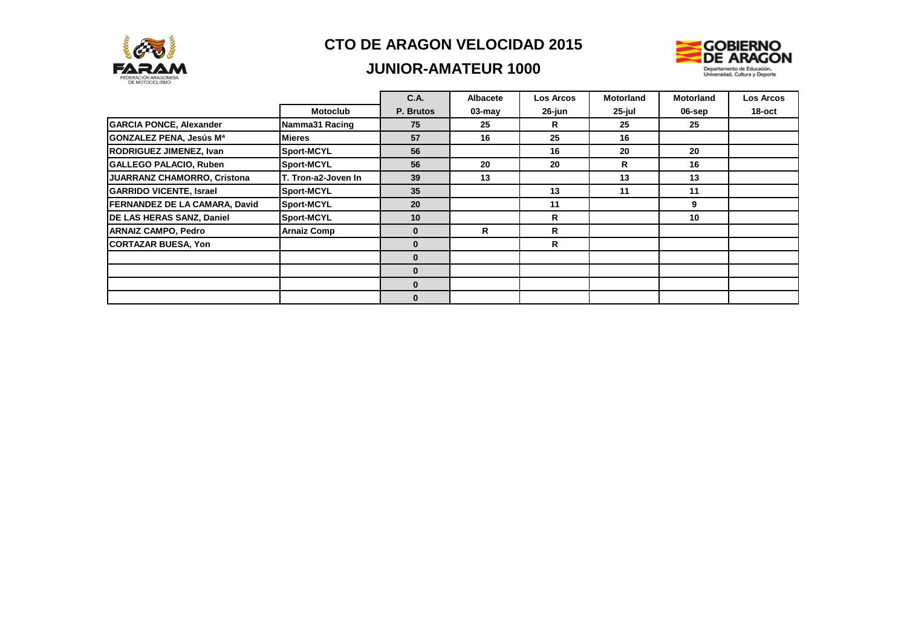

### **JUNIOR-AMATEUR 1000**



|                                    |                     | <b>C.A.</b>  | Albacete   | <b>Los Arcos</b> | <b>Motorland</b> | <b>Motorland</b> | <b>Los Arcos</b> |
|------------------------------------|---------------------|--------------|------------|------------------|------------------|------------------|------------------|
|                                    | <b>Motoclub</b>     | P. Brutos    | $03 - may$ | 26-jun           | 25-jul           | 06-sep           | 18-oct           |
| <b>GARCIA PONCE, Alexander</b>     | Namma31 Racing      | 75           | 25         | R                | 25               | 25               |                  |
| GONZALEZ PENA, Jesús Mª            | <b>Mieres</b>       | 57           | 16         | 25               | 16               |                  |                  |
| RODRIGUEZ JIMENEZ, Ivan            | <b>Sport-MCYL</b>   | 56           |            | 16               | 20               | 20               |                  |
| <b>GALLEGO PALACIO, Ruben</b>      | Sport-MCYL          | 56           | 20         | 20               | R                | 16               |                  |
| <b>JUARRANZ CHAMORRO, Cristona</b> | T. Tron-a2-Joven In | 39           | 13         |                  | 13               | 13               |                  |
| <b>GARRIDO VICENTE, Israel</b>     | <b>Sport-MCYL</b>   | 35           |            | 13               | 11               | 11               |                  |
| FERNANDEZ DE LA CAMARA, David      | Sport-MCYL          | 20           |            | 11               |                  | 9                |                  |
| DE LAS HERAS SANZ, Daniel          | Sport-MCYL          | 10           |            | R                |                  | 10               |                  |
| <b>ARNAIZ CAMPO, Pedro</b>         | <b>Arnaiz Comp</b>  | $\mathbf{0}$ | R          | R                |                  |                  |                  |
| <b>CORTAZAR BUESA, Yon</b>         |                     | $\mathbf{0}$ |            | R                |                  |                  |                  |
|                                    |                     | $\mathbf{0}$ |            |                  |                  |                  |                  |
|                                    |                     | $\bf{0}$     |            |                  |                  |                  |                  |
|                                    |                     | $\mathbf{0}$ |            |                  |                  |                  |                  |
|                                    |                     | $\bf{0}$     |            |                  |                  |                  |                  |